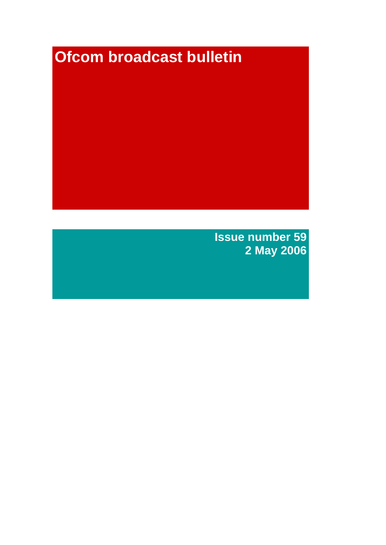# **Ofcom broadcast bulletin**

**Issue number 59 2 May 2006**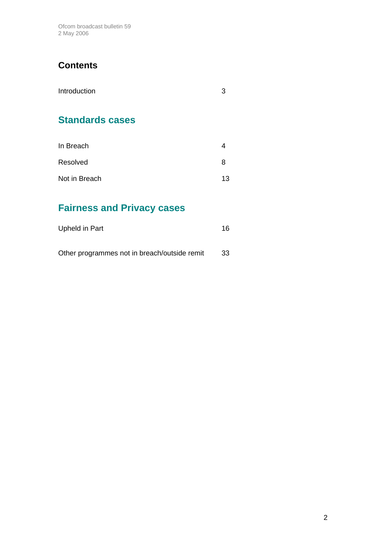Ofcom broadcast bulletin 59 2 May 2006

## **Contents**

| Introduction |  |
|--------------|--|
|              |  |

# **Standards cases**

| In Breach     |    |
|---------------|----|
| Resolved      | x  |
| Not in Breach | 13 |

# **Fairness and Privacy cases**

| Upheld in Part                               | 16  |
|----------------------------------------------|-----|
| Other programmes not in breach/outside remit | 33. |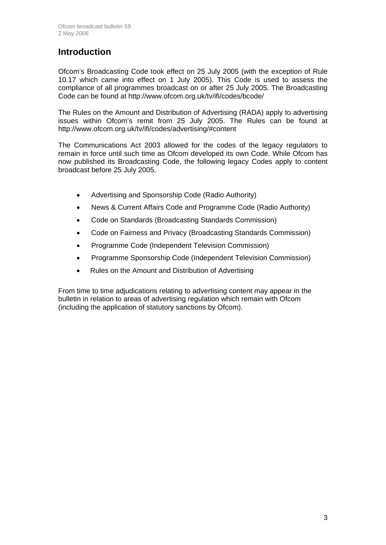## **Introduction**

Ofcom's Broadcasting Code took effect on 25 July 2005 (with the exception of Rule 10.17 which came into effect on 1 July 2005). This Code is used to assess the compliance of all programmes broadcast on or after 25 July 2005. The Broadcasting Code can be found at http://www.ofcom.org.uk/tv/ifi/codes/bcode/

The Rules on the Amount and Distribution of Advertising (RADA) apply to advertising issues within Ofcom's remit from 25 July 2005. The Rules can be found at http://www.ofcom.org.uk/tv/ifi/codes/advertising/#content

The Communications Act 2003 allowed for the codes of the legacy regulators to remain in force until such time as Ofcom developed its own Code. While Ofcom has now published its Broadcasting Code, the following legacy Codes apply to content broadcast before 25 July 2005.

- Advertising and Sponsorship Code (Radio Authority)
- News & Current Affairs Code and Programme Code (Radio Authority)
- Code on Standards (Broadcasting Standards Commission)
- Code on Fairness and Privacy (Broadcasting Standards Commission)
- Programme Code (Independent Television Commission)
- Programme Sponsorship Code (Independent Television Commission)
- Rules on the Amount and Distribution of Advertising

From time to time adjudications relating to advertising content may appear in the bulletin in relation to areas of advertising regulation which remain with Ofcom (including the application of statutory sanctions by Ofcom).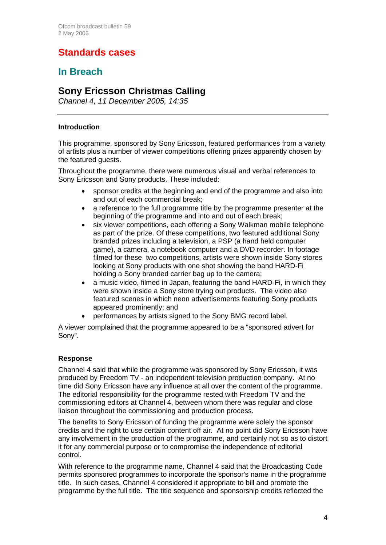# **Standards cases**

## **In Breach**

## **Sony Ericsson Christmas Calling**

*Channel 4, 11 December 2005, 14:35*

#### **Introduction**

This programme, sponsored by Sony Ericsson, featured performances from a variety of artists plus a number of viewer competitions offering prizes apparently chosen by the featured guests.

Throughout the programme, there were numerous visual and verbal references to Sony Ericsson and Sony products. These included:

- sponsor credits at the beginning and end of the programme and also into and out of each commercial break;
- a reference to the full programme title by the programme presenter at the beginning of the programme and into and out of each break;
- six viewer competitions, each offering a Sony Walkman mobile telephone as part of the prize. Of these competitions, two featured additional Sony branded prizes including a television, a PSP (a hand held computer game), a camera, a notebook computer and a DVD recorder. In footage filmed for these two competitions, artists were shown inside Sony stores looking at Sony products with one shot showing the band HARD-Fi holding a Sony branded carrier bag up to the camera;
- a music video, filmed in Japan, featuring the band HARD-Fi, in which they were shown inside a Sony store trying out products. The video also featured scenes in which neon advertisements featuring Sony products appeared prominently; and
- performances by artists signed to the Sony BMG record label.

A viewer complained that the programme appeared to be a "sponsored advert for Sony".

#### **Response**

Channel 4 said that while the programme was sponsored by Sony Ericsson, it was produced by Freedom TV - an independent television production company. At no time did Sony Ericsson have any influence at all over the content of the programme. The editorial responsibility for the programme rested with Freedom TV and the commissioning editors at Channel 4, between whom there was regular and close liaison throughout the commissioning and production process.

The benefits to Sony Ericsson of funding the programme were solely the sponsor credits and the right to use certain content off air. At no point did Sony Ericsson have any involvement in the production of the programme, and certainly not so as to distort it for any commercial purpose or to compromise the independence of editorial control.

With reference to the programme name, Channel 4 said that the Broadcasting Code permits sponsored programmes to incorporate the sponsor's name in the programme title. In such cases, Channel 4 considered it appropriate to bill and promote the programme by the full title. The title sequence and sponsorship credits reflected the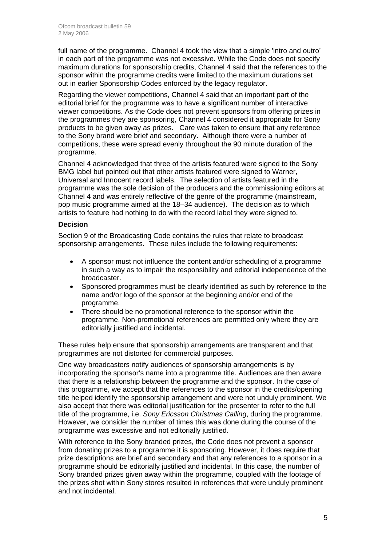full name of the programme. Channel 4 took the view that a simple 'intro and outro' in each part of the programme was not excessive. While the Code does not specify maximum durations for sponsorship credits, Channel 4 said that the references to the sponsor within the programme credits were limited to the maximum durations set out in earlier Sponsorship Codes enforced by the legacy regulator.

Regarding the viewer competitions, Channel 4 said that an important part of the editorial brief for the programme was to have a significant number of interactive viewer competitions. As the Code does not prevent sponsors from offering prizes in the programmes they are sponsoring, Channel 4 considered it appropriate for Sony products to be given away as prizes. Care was taken to ensure that any reference to the Sony brand were brief and secondary. Although there were a number of competitions, these were spread evenly throughout the 90 minute duration of the programme.

Channel 4 acknowledged that three of the artists featured were signed to the Sony BMG label but pointed out that other artists featured were signed to Warner, Universal and Innocent record labels. The selection of artists featured in the programme was the sole decision of the producers and the commissioning editors at Channel 4 and was entirely reflective of the genre of the programme (mainstream, pop music programme aimed at the 18–34 audience). The decision as to which artists to feature had nothing to do with the record label they were signed to.

#### **Decision**

Section 9 of the Broadcasting Code contains the rules that relate to broadcast sponsorship arrangements. These rules include the following requirements:

- A sponsor must not influence the content and/or scheduling of a programme in such a way as to impair the responsibility and editorial independence of the broadcaster.
- Sponsored programmes must be clearly identified as such by reference to the name and/or logo of the sponsor at the beginning and/or end of the programme.
- There should be no promotional reference to the sponsor within the programme. Non-promotional references are permitted only where they are editorially justified and incidental.

These rules help ensure that sponsorship arrangements are transparent and that programmes are not distorted for commercial purposes.

One way broadcasters notify audiences of sponsorship arrangements is by incorporating the sponsor's name into a programme title. Audiences are then aware that there is a relationship between the programme and the sponsor. In the case of this programme, we accept that the references to the sponsor in the credits/opening title helped identify the sponsorship arrangement and were not unduly prominent. We also accept that there was editorial justification for the presenter to refer to the full title of the programme, i.e. *Sony Ericsson Christmas Calling*, during the programme. However, we consider the number of times this was done during the course of the programme was excessive and not editorially justified.

With reference to the Sony branded prizes, the Code does not prevent a sponsor from donating prizes to a programme it is sponsoring. However, it does require that prize descriptions are brief and secondary and that any references to a sponsor in a programme should be editorially justified and incidental. In this case, the number of Sony branded prizes given away within the programme, coupled with the footage of the prizes shot within Sony stores resulted in references that were unduly prominent and not incidental.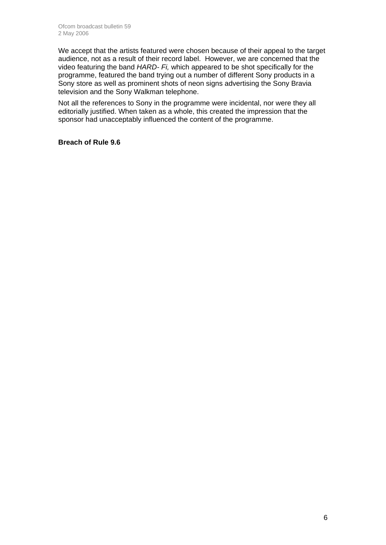We accept that the artists featured were chosen because of their appeal to the target audience, not as a result of their record label. However, we are concerned that the video featuring the band *HARD- Fi,* which appeared to be shot specifically for the programme, featured the band trying out a number of different Sony products in a Sony store as well as prominent shots of neon signs advertising the Sony Bravia television and the Sony Walkman telephone.

Not all the references to Sony in the programme were incidental, nor were they all editorially justified. When taken as a whole, this created the impression that the sponsor had unacceptably influenced the content of the programme.

#### **Breach of Rule 9.6**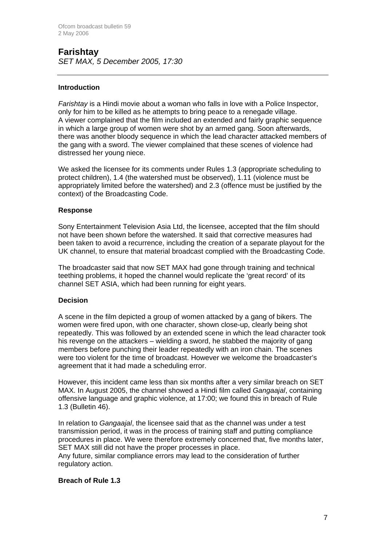## **Farishtay**  *SET MAX, 5 December 2005, 17:30*

#### **Introduction**

*Farishtay* is a Hindi movie about a woman who falls in love with a Police Inspector, only for him to be killed as he attempts to bring peace to a renegade village. A viewer complained that the film included an extended and fairly graphic sequence in which a large group of women were shot by an armed gang. Soon afterwards, there was another bloody sequence in which the lead character attacked members of the gang with a sword. The viewer complained that these scenes of violence had distressed her young niece.

We asked the licensee for its comments under Rules 1.3 (appropriate scheduling to protect children), 1.4 (the watershed must be observed), 1.11 (violence must be appropriately limited before the watershed) and 2.3 (offence must be justified by the context) of the Broadcasting Code.

#### **Response**

Sony Entertainment Television Asia Ltd, the licensee, accepted that the film should not have been shown before the watershed. It said that corrective measures had been taken to avoid a recurrence, including the creation of a separate playout for the UK channel, to ensure that material broadcast complied with the Broadcasting Code.

The broadcaster said that now SET MAX had gone through training and technical teething problems, it hoped the channel would replicate the 'great record' of its channel SET ASIA, which had been running for eight years.

#### **Decision**

A scene in the film depicted a group of women attacked by a gang of bikers. The women were fired upon, with one character, shown close-up, clearly being shot repeatedly. This was followed by an extended scene in which the lead character took his revenge on the attackers – wielding a sword, he stabbed the majority of gang members before punching their leader repeatedly with an iron chain. The scenes were too violent for the time of broadcast. However we welcome the broadcaster's agreement that it had made a scheduling error.

However, this incident came less than six months after a very similar breach on SET MAX. In August 2005, the channel showed a Hindi film called *Gangaajal*, containing offensive language and graphic violence, at 17:00; we found this in breach of Rule 1.3 (Bulletin 46).

In relation to *Gangaajal*, the licensee said that as the channel was under a test transmission period, it was in the process of training staff and putting compliance procedures in place. We were therefore extremely concerned that, five months later, SET MAX still did not have the proper processes in place.

Any future, similar compliance errors may lead to the consideration of further regulatory action.

#### **Breach of Rule 1.3**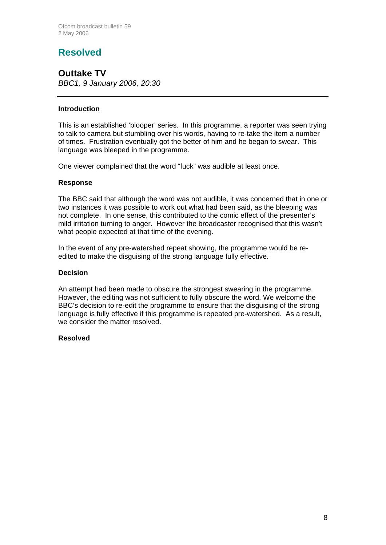# **Resolved**

**Outtake TV**  *BBC1, 9 January 2006, 20:30*

#### **Introduction**

This is an established 'blooper' series. In this programme, a reporter was seen trying to talk to camera but stumbling over his words, having to re-take the item a number of times. Frustration eventually got the better of him and he began to swear. This language was bleeped in the programme.

One viewer complained that the word "fuck" was audible at least once.

#### **Response**

The BBC said that although the word was not audible, it was concerned that in one or two instances it was possible to work out what had been said, as the bleeping was not complete. In one sense, this contributed to the comic effect of the presenter's mild irritation turning to anger. However the broadcaster recognised that this wasn't what people expected at that time of the evening.

In the event of any pre-watershed repeat showing, the programme would be reedited to make the disguising of the strong language fully effective.

#### **Decision**

An attempt had been made to obscure the strongest swearing in the programme. However, the editing was not sufficient to fully obscure the word. We welcome the BBC's decision to re-edit the programme to ensure that the disguising of the strong language is fully effective if this programme is repeated pre-watershed. As a result, we consider the matter resolved.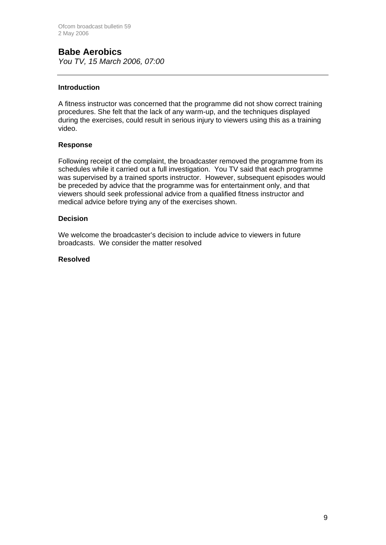## **Babe Aerobics**

*You TV, 15 March 2006, 07:00*

#### **Introduction**

A fitness instructor was concerned that the programme did not show correct training procedures. She felt that the lack of any warm-up, and the techniques displayed during the exercises, could result in serious injury to viewers using this as a training video.

#### **Response**

Following receipt of the complaint, the broadcaster removed the programme from its schedules while it carried out a full investigation. You TV said that each programme was supervised by a trained sports instructor. However, subsequent episodes would be preceded by advice that the programme was for entertainment only, and that viewers should seek professional advice from a qualified fitness instructor and medical advice before trying any of the exercises shown.

#### **Decision**

We welcome the broadcaster's decision to include advice to viewers in future broadcasts. We consider the matter resolved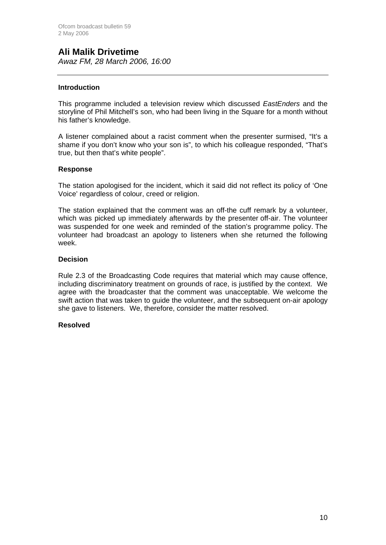# **Ali Malik Drivetime**

*Awaz FM, 28 March 2006, 16:00*

#### **Introduction**

This programme included a television review which discussed *EastEnders* and the storyline of Phil Mitchell's son, who had been living in the Square for a month without his father's knowledge.

A listener complained about a racist comment when the presenter surmised, "It's a shame if you don't know who your son is", to which his colleague responded, "That's true, but then that's white people".

#### **Response**

The station apologised for the incident, which it said did not reflect its policy of 'One Voice' regardless of colour, creed or religion.

The station explained that the comment was an off-the cuff remark by a volunteer, which was picked up immediately afterwards by the presenter off-air. The volunteer was suspended for one week and reminded of the station's programme policy. The volunteer had broadcast an apology to listeners when she returned the following week.

#### **Decision**

Rule 2.3 of the Broadcasting Code requires that material which may cause offence, including discriminatory treatment on grounds of race, is justified by the context. We agree with the broadcaster that the comment was unacceptable. We welcome the swift action that was taken to guide the volunteer, and the subsequent on-air apology she gave to listeners. We, therefore, consider the matter resolved.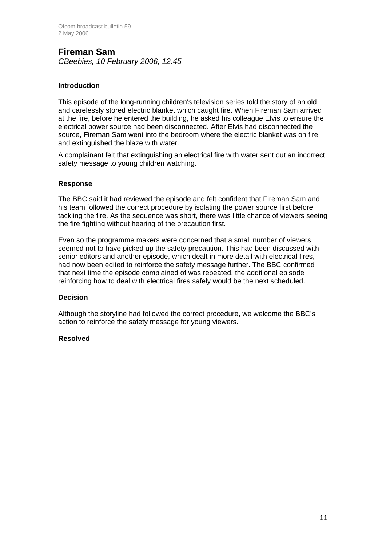## **Fireman Sam**  *CBeebies, 10 February 2006, 12.45*

#### **Introduction**

This episode of the long-running children's television series told the story of an old and carelessly stored electric blanket which caught fire. When Fireman Sam arrived at the fire, before he entered the building, he asked his colleague Elvis to ensure the electrical power source had been disconnected. After Elvis had disconnected the source, Fireman Sam went into the bedroom where the electric blanket was on fire and extinguished the blaze with water.

A complainant felt that extinguishing an electrical fire with water sent out an incorrect safety message to young children watching.

#### **Response**

The BBC said it had reviewed the episode and felt confident that Fireman Sam and his team followed the correct procedure by isolating the power source first before tackling the fire. As the sequence was short, there was little chance of viewers seeing the fire fighting without hearing of the precaution first.

Even so the programme makers were concerned that a small number of viewers seemed not to have picked up the safety precaution. This had been discussed with senior editors and another episode, which dealt in more detail with electrical fires, had now been edited to reinforce the safety message further. The BBC confirmed that next time the episode complained of was repeated, the additional episode reinforcing how to deal with electrical fires safely would be the next scheduled.

#### **Decision**

Although the storyline had followed the correct procedure, we welcome the BBC's action to reinforce the safety message for young viewers.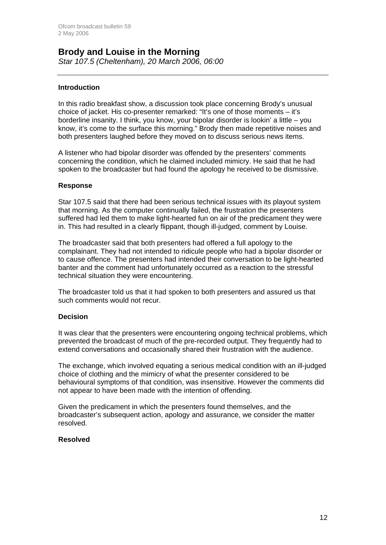#### **Brody and Louise in the Morning**  *Star 107.5 (Cheltenham), 20 March 2006, 06:00*

#### **Introduction**

In this radio breakfast show, a discussion took place concerning Brody's unusual choice of jacket. His co-presenter remarked: "It's one of those moments – it's borderline insanity. I think, you know, your bipolar disorder is lookin' a little – you know, it's come to the surface this morning." Brody then made repetitive noises and both presenters laughed before they moved on to discuss serious news items.

A listener who had bipolar disorder was offended by the presenters' comments concerning the condition, which he claimed included mimicry. He said that he had spoken to the broadcaster but had found the apology he received to be dismissive.

#### **Response**

Star 107.5 said that there had been serious technical issues with its playout system that morning. As the computer continually failed, the frustration the presenters suffered had led them to make light-hearted fun on air of the predicament they were in. This had resulted in a clearly flippant, though ill-judged, comment by Louise.

The broadcaster said that both presenters had offered a full apology to the complainant. They had not intended to ridicule people who had a bipolar disorder or to cause offence. The presenters had intended their conversation to be light-hearted banter and the comment had unfortunately occurred as a reaction to the stressful technical situation they were encountering.

The broadcaster told us that it had spoken to both presenters and assured us that such comments would not recur.

#### **Decision**

It was clear that the presenters were encountering ongoing technical problems, which prevented the broadcast of much of the pre-recorded output. They frequently had to extend conversations and occasionally shared their frustration with the audience.

The exchange, which involved equating a serious medical condition with an ill-judged choice of clothing and the mimicry of what the presenter considered to be behavioural symptoms of that condition, was insensitive. However the comments did not appear to have been made with the intention of offending.

Given the predicament in which the presenters found themselves, and the broadcaster's subsequent action, apology and assurance, we consider the matter resolved.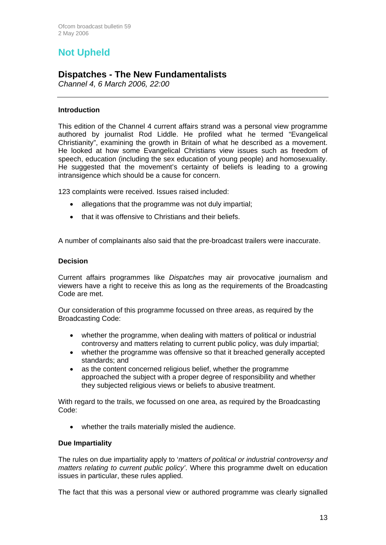# **Not Upheld**

## **Dispatches - The New Fundamentalists**

*Channel 4, 6 March 2006, 22:00*

#### **Introduction**

This edition of the Channel 4 current affairs strand was a personal view programme authored by journalist Rod Liddle. He profiled what he termed "Evangelical Christianity", examining the growth in Britain of what he described as a movement. He looked at how some Evangelical Christians view issues such as freedom of speech, education (including the sex education of young people) and homosexuality. He suggested that the movement's certainty of beliefs is leading to a growing intransigence which should be a cause for concern.

123 complaints were received. Issues raised included:

- allegations that the programme was not duly impartial;
- that it was offensive to Christians and their beliefs.

A number of complainants also said that the pre-broadcast trailers were inaccurate.

#### **Decision**

Current affairs programmes like *Dispatches* may air provocative journalism and viewers have a right to receive this as long as the requirements of the Broadcasting Code are met.

Our consideration of this programme focussed on three areas, as required by the Broadcasting Code:

- whether the programme, when dealing with matters of political or industrial controversy and matters relating to current public policy, was duly impartial;
- whether the programme was offensive so that it breached generally accepted standards; and
- as the content concerned religious belief, whether the programme approached the subject with a proper degree of responsibility and whether they subjected religious views or beliefs to abusive treatment.

With regard to the trails, we focussed on one area, as required by the Broadcasting Code:

• whether the trails materially misled the audience.

#### **Due Impartiality**

The rules on due impartiality apply to '*matters of political or industrial controversy and matters relating to current public policy'*. Where this programme dwelt on education issues in particular, these rules applied.

The fact that this was a personal view or authored programme was clearly signalled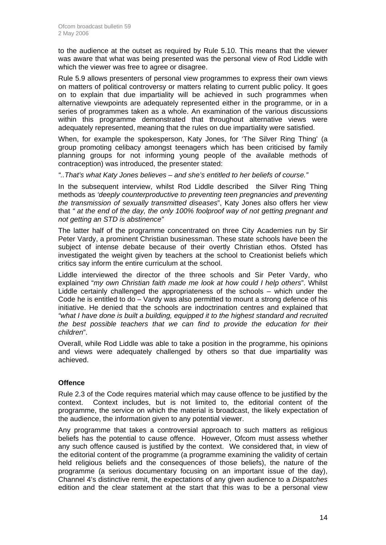to the audience at the outset as required by Rule 5.10. This means that the viewer was aware that what was being presented was the personal view of Rod Liddle with which the viewer was free to agree or disagree.

Rule 5.9 allows presenters of personal view programmes to express their own views on matters of political controversy or matters relating to current public policy. It goes on to explain that due impartiality will be achieved in such programmes when alternative viewpoints are adequately represented either in the programme, or in a series of programmes taken as a whole. An examination of the various discussions within this programme demonstrated that throughout alternative views were adequately represented, meaning that the rules on due impartiality were satisfied.

When, for example the spokesperson, Katy Jones, for 'The Silver Ring Thing' (a group promoting celibacy amongst teenagers which has been criticised by family planning groups for not informing young people of the available methods of contraception) was introduced, the presenter stated:

*"..That's what Katy Jones believes – and she's entitled to her beliefs of course."* 

In the subsequent interview, whilst Rod Liddle described the Silver Ring Thing methods as *'deeply counterproductive to preventing teen pregnancies and preventing the transmission of sexually transmitted diseases*", Katy Jones also offers her view that *" at the end of the day, the only 100% foolproof way of not getting pregnant and not getting an STD is abstinence"* 

The latter half of the programme concentrated on three City Academies run by Sir Peter Vardy, a prominent Christian businessman. These state schools have been the subject of intense debate because of their overtly Christian ethos. Ofsted has investigated the weight given by teachers at the school to Creationist beliefs which critics say inform the entire curriculum at the school.

Liddle interviewed the director of the three schools and Sir Peter Vardy, who explained "*my own Christian faith made me look at how could I help others*". Whilst Liddle certainly challenged the appropriateness of the schools – which under the Code he is entitled to do – Vardy was also permitted to mount a strong defence of his initiative. He denied that the schools are indoctrination centres and explained that *"what I have done is built a building, equipped it to the highest standard and recruited the best possible teachers that we can find to provide the education for their children*".

Overall, while Rod Liddle was able to take a position in the programme, his opinions and views were adequately challenged by others so that due impartiality was achieved.

#### **Offence**

Rule 2.3 of the Code requires material which may cause offence to be justified by the context. Context includes, but is not limited to, the editorial content of the programme, the service on which the material is broadcast, the likely expectation of the audience, the information given to any potential viewer.

Any programme that takes a controversial approach to such matters as religious beliefs has the potential to cause offence. However, Ofcom must assess whether any such offence caused is justified by the context. We considered that, in view of the editorial content of the programme (a programme examining the validity of certain held religious beliefs and the consequences of those beliefs), the nature of the programme (a serious documentary focusing on an important issue of the day), Channel 4's distinctive remit, the expectations of any given audience to a *Dispatches* edition and the clear statement at the start that this was to be a personal view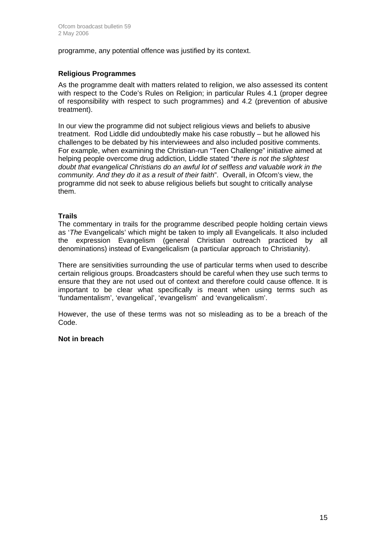programme, any potential offence was justified by its context.

#### **Religious Programmes**

As the programme dealt with matters related to religion, we also assessed its content with respect to the Code's Rules on Religion; in particular Rules 4.1 (proper degree of responsibility with respect to such programmes) and 4.2 (prevention of abusive treatment).

In our view the programme did not subject religious views and beliefs to abusive treatment. Rod Liddle did undoubtedly make his case robustly – but he allowed his challenges to be debated by his interviewees and also included positive comments. For example, when examining the Christian-run "Teen Challenge" initiative aimed at helping people overcome drug addiction, Liddle stated "*there is not the slightest doubt that evangelical Christians do an awful lot of selfless and valuable work in the community. And they do it as a result of their faith*". Overall, in Ofcom's view, the programme did not seek to abuse religious beliefs but sought to critically analyse them.

#### **Trails**

The commentary in trails for the programme described people holding certain views as '*The* Evangelicals' which might be taken to imply all Evangelicals. It also included the expression Evangelism (general Christian outreach practiced by all denominations) instead of Evangelicalism (a particular approach to Christianity).

There are sensitivities surrounding the use of particular terms when used to describe certain religious groups. Broadcasters should be careful when they use such terms to ensure that they are not used out of context and therefore could cause offence. It is important to be clear what specifically is meant when using terms such as 'fundamentalism', 'evangelical', 'evangelism' and 'evangelicalism'.

However, the use of these terms was not so misleading as to be a breach of the Code.

#### **Not in breach**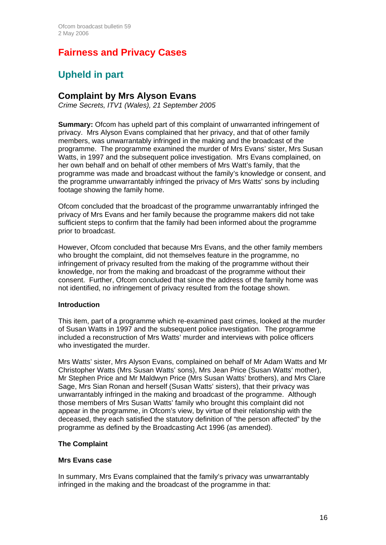# **Fairness and Privacy Cases**

# **Upheld in part**

## **Complaint by Mrs Alyson Evans**

*Crime Secrets, ITV1 (Wales), 21 September 2005* 

**Summary:** Ofcom has upheld part of this complaint of unwarranted infringement of privacy. Mrs Alyson Evans complained that her privacy, and that of other family members, was unwarrantably infringed in the making and the broadcast of the programme. The programme examined the murder of Mrs Evans' sister, Mrs Susan Watts, in 1997 and the subsequent police investigation. Mrs Evans complained, on her own behalf and on behalf of other members of Mrs Watt's family, that the programme was made and broadcast without the family's knowledge or consent, and the programme unwarrantably infringed the privacy of Mrs Watts' sons by including footage showing the family home.

Ofcom concluded that the broadcast of the programme unwarrantably infringed the privacy of Mrs Evans and her family because the programme makers did not take sufficient steps to confirm that the family had been informed about the programme prior to broadcast.

However, Ofcom concluded that because Mrs Evans, and the other family members who brought the complaint, did not themselves feature in the programme, no infringement of privacy resulted from the making of the programme without their knowledge, nor from the making and broadcast of the programme without their consent. Further, Ofcom concluded that since the address of the family home was not identified, no infringement of privacy resulted from the footage shown.

#### **Introduction**

This item, part of a programme which re-examined past crimes, looked at the murder of Susan Watts in 1997 and the subsequent police investigation. The programme included a reconstruction of Mrs Watts' murder and interviews with police officers who investigated the murder.

Mrs Watts' sister, Mrs Alyson Evans, complained on behalf of Mr Adam Watts and Mr Christopher Watts (Mrs Susan Watts' sons), Mrs Jean Price (Susan Watts' mother), Mr Stephen Price and Mr Maldwyn Price (Mrs Susan Watts' brothers), and Mrs Clare Sage, Mrs Sian Ronan and herself (Susan Watts' sisters), that their privacy was unwarrantably infringed in the making and broadcast of the programme. Although those members of Mrs Susan Watts' family who brought this complaint did not appear in the programme, in Ofcom's view, by virtue of their relationship with the deceased, they each satisfied the statutory definition of "the person affected" by the programme as defined by the Broadcasting Act 1996 (as amended).

#### **The Complaint**

#### **Mrs Evans case**

In summary, Mrs Evans complained that the family's privacy was unwarrantably infringed in the making and the broadcast of the programme in that: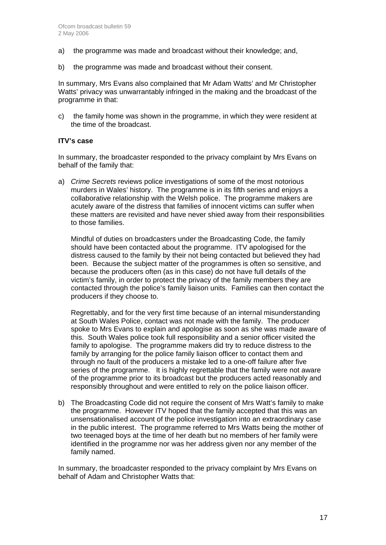- a) the programme was made and broadcast without their knowledge; and,
- b) the programme was made and broadcast without their consent.

In summary, Mrs Evans also complained that Mr Adam Watts' and Mr Christopher Watts' privacy was unwarrantably infringed in the making and the broadcast of the programme in that:

c) the family home was shown in the programme, in which they were resident at the time of the broadcast.

#### **ITV's case**

In summary, the broadcaster responded to the privacy complaint by Mrs Evans on behalf of the family that:

a) *Crime Secrets* reviews police investigations of some of the most notorious murders in Wales' history. The programme is in its fifth series and enjoys a collaborative relationship with the Welsh police. The programme makers are acutely aware of the distress that families of innocent victims can suffer when these matters are revisited and have never shied away from their responsibilities to those families.

 Mindful of duties on broadcasters under the Broadcasting Code, the family should have been contacted about the programme. ITV apologised for the distress caused to the family by their not being contacted but believed they had been. Because the subject matter of the programmes is often so sensitive, and because the producers often (as in this case) do not have full details of the victim's family, in order to protect the privacy of the family members they are contacted through the police's family liaison units. Families can then contact the producers if they choose to.

 Regrettably, and for the very first time because of an internal misunderstanding at South Wales Police, contact was not made with the family. The producer spoke to Mrs Evans to explain and apologise as soon as she was made aware of this. South Wales police took full responsibility and a senior officer visited the family to apologise. The programme makers did try to reduce distress to the family by arranging for the police family liaison officer to contact them and through no fault of the producers a mistake led to a one-off failure after five series of the programme. It is highly regrettable that the family were not aware of the programme prior to its broadcast but the producers acted reasonably and responsibly throughout and were entitled to rely on the police liaison officer.

b) The Broadcasting Code did not require the consent of Mrs Watt's family to make the programme. However ITV hoped that the family accepted that this was an unsensationalised account of the police investigation into an extraordinary case in the public interest. The programme referred to Mrs Watts being the mother of two teenaged boys at the time of her death but no members of her family were identified in the programme nor was her address given nor any member of the family named.

In summary, the broadcaster responded to the privacy complaint by Mrs Evans on behalf of Adam and Christopher Watts that: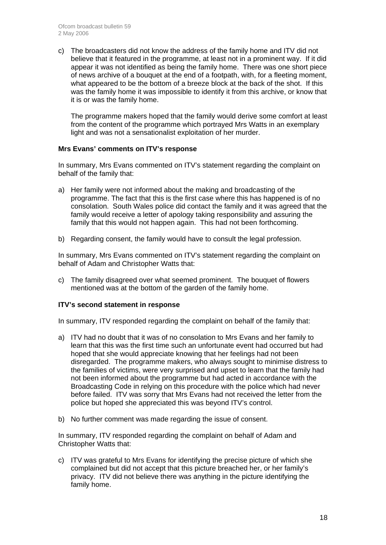c) The broadcasters did not know the address of the family home and ITV did not believe that it featured in the programme, at least not in a prominent way. If it did appear it was not identified as being the family home. There was one short piece of news archive of a bouquet at the end of a footpath, with, for a fleeting moment, what appeared to be the bottom of a breeze block at the back of the shot. If this was the family home it was impossible to identify it from this archive, or know that it is or was the family home.

The programme makers hoped that the family would derive some comfort at least from the content of the programme which portrayed Mrs Watts in an exemplary light and was not a sensationalist exploitation of her murder.

#### **Mrs Evans' comments on ITV's response**

In summary, Mrs Evans commented on ITV's statement regarding the complaint on behalf of the family that:

- a) Her family were not informed about the making and broadcasting of the programme. The fact that this is the first case where this has happened is of no consolation. South Wales police did contact the family and it was agreed that the family would receive a letter of apology taking responsibility and assuring the family that this would not happen again. This had not been forthcoming.
- b) Regarding consent, the family would have to consult the legal profession.

In summary, Mrs Evans commented on ITV's statement regarding the complaint on behalf of Adam and Christopher Watts that:

c) The family disagreed over what seemed prominent. The bouquet of flowers mentioned was at the bottom of the garden of the family home.

#### **ITV's second statement in response**

In summary, ITV responded regarding the complaint on behalf of the family that:

- a) ITV had no doubt that it was of no consolation to Mrs Evans and her family to learn that this was the first time such an unfortunate event had occurred but had hoped that she would appreciate knowing that her feelings had not been disregarded. The programme makers, who always sought to minimise distress to the families of victims, were very surprised and upset to learn that the family had not been informed about the programme but had acted in accordance with the Broadcasting Code in relying on this procedure with the police which had never before failed. ITV was sorry that Mrs Evans had not received the letter from the police but hoped she appreciated this was beyond ITV's control.
- b) No further comment was made regarding the issue of consent.

In summary, ITV responded regarding the complaint on behalf of Adam and Christopher Watts that:

c) ITV was grateful to Mrs Evans for identifying the precise picture of which she complained but did not accept that this picture breached her, or her family's privacy. ITV did not believe there was anything in the picture identifying the family home.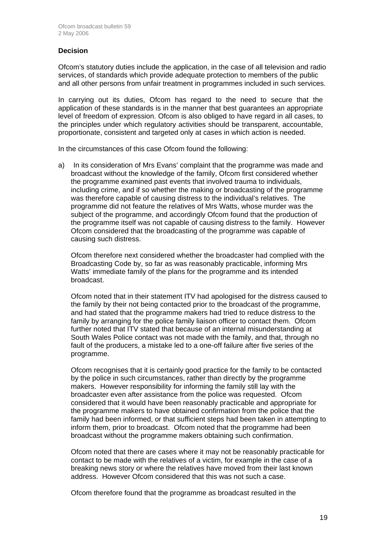#### **Decision**

Ofcom's statutory duties include the application, in the case of all television and radio services, of standards which provide adequate protection to members of the public and all other persons from unfair treatment in programmes included in such services.

In carrying out its duties, Ofcom has regard to the need to secure that the application of these standards is in the manner that best guarantees an appropriate level of freedom of expression. Ofcom is also obliged to have regard in all cases, to the principles under which regulatory activities should be transparent, accountable, proportionate, consistent and targeted only at cases in which action is needed.

In the circumstances of this case Ofcom found the following:

a) In its consideration of Mrs Evans' complaint that the programme was made and broadcast without the knowledge of the family, Ofcom first considered whether the programme examined past events that involved trauma to individuals, including crime, and if so whether the making or broadcasting of the programme was therefore capable of causing distress to the individual's relatives. The programme did not feature the relatives of Mrs Watts, whose murder was the subject of the programme, and accordingly Ofcom found that the production of the programme itself was not capable of causing distress to the family. However Ofcom considered that the broadcasting of the programme was capable of causing such distress.

 Ofcom therefore next considered whether the broadcaster had complied with the Broadcasting Code by, so far as was reasonably practicable, informing Mrs Watts' immediate family of the plans for the programme and its intended broadcast.

 Ofcom noted that in their statement ITV had apologised for the distress caused to the family by their not being contacted prior to the broadcast of the programme, and had stated that the programme makers had tried to reduce distress to the family by arranging for the police family liaison officer to contact them. Ofcom further noted that ITV stated that because of an internal misunderstanding at South Wales Police contact was not made with the family, and that, through no fault of the producers, a mistake led to a one-off failure after five series of the programme.

 Ofcom recognises that it is certainly good practice for the family to be contacted by the police in such circumstances, rather than directly by the programme makers. However responsibility for informing the family still lay with the broadcaster even after assistance from the police was requested. Ofcom considered that it would have been reasonably practicable and appropriate for the programme makers to have obtained confirmation from the police that the family had been informed, or that sufficient steps had been taken in attempting to inform them, prior to broadcast. Ofcom noted that the programme had been broadcast without the programme makers obtaining such confirmation.

 Ofcom noted that there are cases where it may not be reasonably practicable for contact to be made with the relatives of a victim, for example in the case of a breaking news story or where the relatives have moved from their last known address. However Ofcom considered that this was not such a case.

Ofcom therefore found that the programme as broadcast resulted in the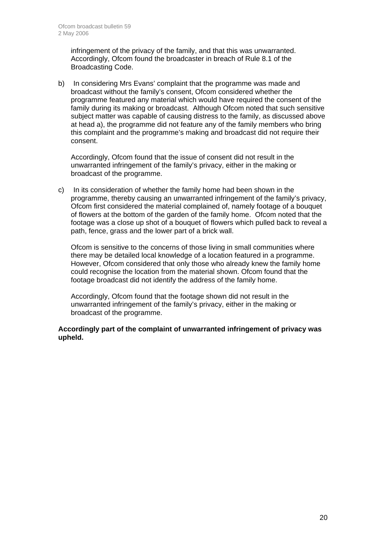infringement of the privacy of the family, and that this was unwarranted. Accordingly, Ofcom found the broadcaster in breach of Rule 8.1 of the Broadcasting Code.

b) In considering Mrs Evans' complaint that the programme was made and broadcast without the family's consent, Ofcom considered whether the programme featured any material which would have required the consent of the family during its making or broadcast. Although Ofcom noted that such sensitive subject matter was capable of causing distress to the family, as discussed above at head a), the programme did not feature any of the family members who bring this complaint and the programme's making and broadcast did not require their consent.

 Accordingly, Ofcom found that the issue of consent did not result in the unwarranted infringement of the family's privacy, either in the making or broadcast of the programme.

c) In its consideration of whether the family home had been shown in the programme, thereby causing an unwarranted infringement of the family's privacy, Ofcom first considered the material complained of, namely footage of a bouquet of flowers at the bottom of the garden of the family home. Ofcom noted that the footage was a close up shot of a bouquet of flowers which pulled back to reveal a path, fence, grass and the lower part of a brick wall.

 Ofcom is sensitive to the concerns of those living in small communities where there may be detailed local knowledge of a location featured in a programme. However, Ofcom considered that only those who already knew the family home could recognise the location from the material shown. Ofcom found that the footage broadcast did not identify the address of the family home.

 Accordingly, Ofcom found that the footage shown did not result in the unwarranted infringement of the family's privacy, either in the making or broadcast of the programme.

#### **Accordingly part of the complaint of unwarranted infringement of privacy was upheld.**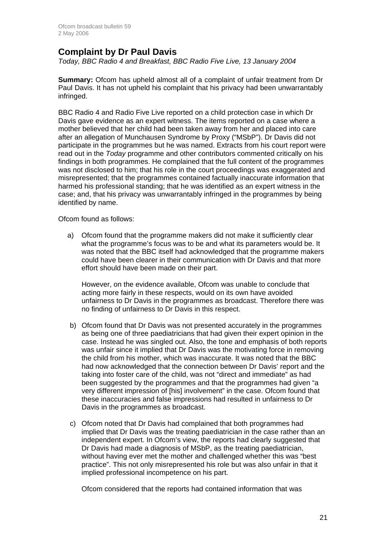## **Complaint by Dr Paul Davis**

*Today, BBC Radio 4 and Breakfast, BBC Radio Five Live, 13 January 2004* 

**Summary:** Ofcom has upheld almost all of a complaint of unfair treatment from Dr Paul Davis. It has not upheld his complaint that his privacy had been unwarrantably infringed.

BBC Radio 4 and Radio Five Live reported on a child protection case in which Dr Davis gave evidence as an expert witness. The items reported on a case where a mother believed that her child had been taken away from her and placed into care after an allegation of Munchausen Syndrome by Proxy ("MSbP"). Dr Davis did not participate in the programmes but he was named. Extracts from his court report were read out in the *Today* programme and other contributors commented critically on his findings in both programmes. He complained that the full content of the programmes was not disclosed to him; that his role in the court proceedings was exaggerated and misrepresented; that the programmes contained factually inaccurate information that harmed his professional standing; that he was identified as an expert witness in the case; and, that his privacy was unwarrantably infringed in the programmes by being identified by name.

Ofcom found as follows:

a) Ofcom found that the programme makers did not make it sufficiently clear what the programme's focus was to be and what its parameters would be. It was noted that the BBC itself had acknowledged that the programme makers could have been clearer in their communication with Dr Davis and that more effort should have been made on their part.

However, on the evidence available, Ofcom was unable to conclude that acting more fairly in these respects, would on its own have avoided unfairness to Dr Davis in the programmes as broadcast. Therefore there was no finding of unfairness to Dr Davis in this respect.

- b) Ofcom found that Dr Davis was not presented accurately in the programmes as being one of three paediatricians that had given their expert opinion in the case. Instead he was singled out. Also, the tone and emphasis of both reports was unfair since it implied that Dr Davis was the motivating force in removing the child from his mother, which was inaccurate. It was noted that the BBC had now acknowledged that the connection between Dr Davis' report and the taking into foster care of the child, was not "direct and immediate" as had been suggested by the programmes and that the programmes had given "a very different impression of [his] involvement" in the case. Ofcom found that these inaccuracies and false impressions had resulted in unfairness to Dr Davis in the programmes as broadcast.
- c) Ofcom noted that Dr Davis had complained that both programmes had implied that Dr Davis was the treating paediatrician in the case rather than an independent expert. In Ofcom's view, the reports had clearly suggested that Dr Davis had made a diagnosis of MSbP, as the treating paediatrician, without having ever met the mother and challenged whether this was "best practice". This not only misrepresented his role but was also unfair in that it implied professional incompetence on his part.

Ofcom considered that the reports had contained information that was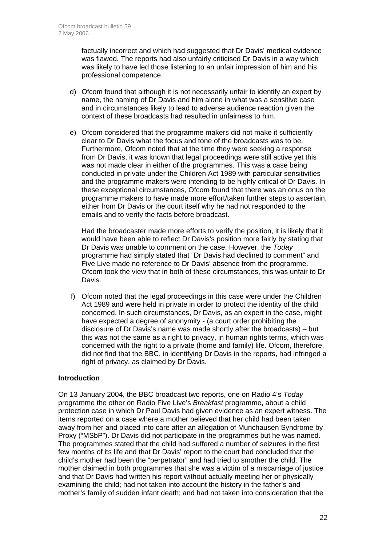factually incorrect and which had suggested that Dr Davis' medical evidence was flawed. The reports had also unfairly criticised Dr Davis in a way which was likely to have led those listening to an unfair impression of him and his professional competence.

- d) Ofcom found that although it is not necessarily unfair to identify an expert by name, the naming of Dr Davis and him alone in what was a sensitive case and in circumstances likely to lead to adverse audience reaction given the context of these broadcasts had resulted in unfairness to him.
- e) Ofcom considered that the programme makers did not make it sufficiently clear to Dr Davis what the focus and tone of the broadcasts was to be. Furthermore, Ofcom noted that at the time they were seeking a response from Dr Davis, it was known that legal proceedings were still active yet this was not made clear in either of the programmes. This was a case being conducted in private under the Children Act 1989 with particular sensitivities and the programme makers were intending to be highly critical of Dr Davis. In these exceptional circumstances, Ofcom found that there was an onus on the programme makers to have made more effort/taken further steps to ascertain, either from Dr Davis or the court itself why he had not responded to the emails and to verify the facts before broadcast.

Had the broadcaster made more efforts to verify the position, it is likely that it would have been able to reflect Dr Davis's position more fairly by stating that Dr Davis was unable to comment on the case. However, the *Today* programme had simply stated that "Dr Davis had declined to comment" and Five Live made no reference to Dr Davis' absence from the programme. Ofcom took the view that in both of these circumstances, this was unfair to Dr Davis.

 f) Ofcom noted that the legal proceedings in this case were under the Children Act 1989 and were held in private in order to protect the identity of the child concerned. In such circumstances, Dr Davis, as an expert in the case, might have expected a degree of anonymity - (a court order prohibiting the disclosure of Dr Davis's name was made shortly after the broadcasts) – but this was not the same as a right to privacy, in human rights terms, which was concerned with the right to a private (home and family) life. Ofcom, therefore, did not find that the BBC, in identifying Dr Davis in the reports, had infringed a right of privacy, as claimed by Dr Davis.

#### **Introduction**

On 13 January 2004, the BBC broadcast two reports, one on Radio 4's *Today*  programme the other on Radio Five Live's *Breakfast* programme, about a child protection case in which Dr Paul Davis had given evidence as an expert witness. The items reported on a case where a mother believed that her child had been taken away from her and placed into care after an allegation of Munchausen Syndrome by Proxy ("MSbP"). Dr Davis did not participate in the programmes but he was named. The programmes stated that the child had suffered a number of seizures in the first few months of its life and that Dr Davis' report to the court had concluded that the child's mother had been the "perpetrator" and had tried to smother the child. The mother claimed in both programmes that she was a victim of a miscarriage of justice and that Dr Davis had written his report without actually meeting her or physically examining the child; had not taken into account the history in the father's and mother's family of sudden infant death; and had not taken into consideration that the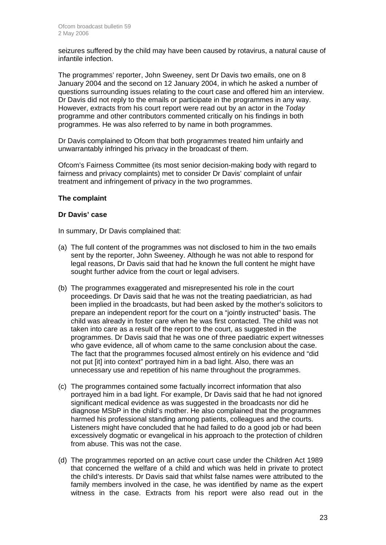seizures suffered by the child may have been caused by rotavirus, a natural cause of infantile infection.

The programmes' reporter, John Sweeney, sent Dr Davis two emails, one on 8 January 2004 and the second on 12 January 2004, in which he asked a number of questions surrounding issues relating to the court case and offered him an interview. Dr Davis did not reply to the emails or participate in the programmes in any way. However, extracts from his court report were read out by an actor in the *Today* programme and other contributors commented critically on his findings in both programmes. He was also referred to by name in both programmes.

Dr Davis complained to Ofcom that both programmes treated him unfairly and unwarrantably infringed his privacy in the broadcast of them.

Ofcom's Fairness Committee (its most senior decision-making body with regard to fairness and privacy complaints) met to consider Dr Davis' complaint of unfair treatment and infringement of privacy in the two programmes.

#### **The complaint**

#### **Dr Davis' case**

In summary, Dr Davis complained that:

- (a) The full content of the programmes was not disclosed to him in the two emails sent by the reporter, John Sweeney. Although he was not able to respond for legal reasons, Dr Davis said that had he known the full content he might have sought further advice from the court or legal advisers.
- (b) The programmes exaggerated and misrepresented his role in the court proceedings. Dr Davis said that he was not the treating paediatrician, as had been implied in the broadcasts, but had been asked by the mother's solicitors to prepare an independent report for the court on a "jointly instructed" basis. The child was already in foster care when he was first contacted. The child was not taken into care as a result of the report to the court, as suggested in the programmes. Dr Davis said that he was one of three paediatric expert witnesses who gave evidence, all of whom came to the same conclusion about the case. The fact that the programmes focused almost entirely on his evidence and "did not put [it] into context" portrayed him in a bad light. Also, there was an unnecessary use and repetition of his name throughout the programmes.
- (c) The programmes contained some factually incorrect information that also portrayed him in a bad light. For example, Dr Davis said that he had not ignored significant medical evidence as was suggested in the broadcasts nor did he diagnose MSbP in the child's mother. He also complained that the programmes harmed his professional standing among patients, colleagues and the courts. Listeners might have concluded that he had failed to do a good job or had been excessively dogmatic or evangelical in his approach to the protection of children from abuse. This was not the case.
- (d) The programmes reported on an active court case under the Children Act 1989 that concerned the welfare of a child and which was held in private to protect the child's interests. Dr Davis said that whilst false names were attributed to the family members involved in the case, he was identified by name as the expert witness in the case. Extracts from his report were also read out in the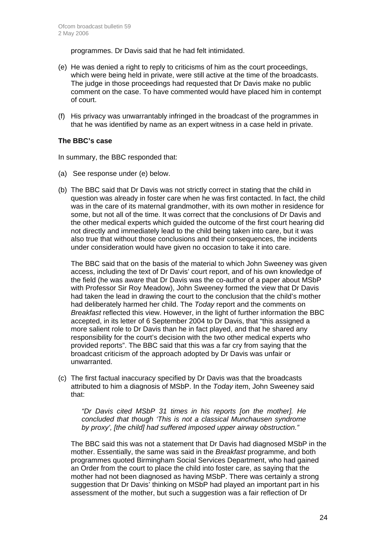programmes. Dr Davis said that he had felt intimidated.

- (e) He was denied a right to reply to criticisms of him as the court proceedings, which were being held in private, were still active at the time of the broadcasts. The judge in those proceedings had requested that Dr Davis make no public comment on the case. To have commented would have placed him in contempt of court.
- (f) His privacy was unwarrantably infringed in the broadcast of the programmes in that he was identified by name as an expert witness in a case held in private.

#### **The BBC's case**

In summary, the BBC responded that:

- (a) See response under (e) below.
- (b) The BBC said that Dr Davis was not strictly correct in stating that the child in question was already in foster care when he was first contacted. In fact, the child was in the care of its maternal grandmother, with its own mother in residence for some, but not all of the time. It was correct that the conclusions of Dr Davis and the other medical experts which guided the outcome of the first court hearing did not directly and immediately lead to the child being taken into care, but it was also true that without those conclusions and their consequences, the incidents under consideration would have given no occasion to take it into care.

The BBC said that on the basis of the material to which John Sweeney was given access, including the text of Dr Davis' court report, and of his own knowledge of the field (he was aware that Dr Davis was the co-author of a paper about MSbP with Professor Sir Roy Meadow), John Sweeney formed the view that Dr Davis had taken the lead in drawing the court to the conclusion that the child's mother had deliberately harmed her child. The *Today* report and the comments on *Breakfast* reflected this view. However, in the light of further information the BBC accepted, in its letter of 6 September 2004 to Dr Davis, that "this assigned a more salient role to Dr Davis than he in fact played, and that he shared any responsibility for the court's decision with the two other medical experts who provided reports". The BBC said that this was a far cry from saying that the broadcast criticism of the approach adopted by Dr Davis was unfair or unwarranted.

(c) The first factual inaccuracy specified by Dr Davis was that the broadcasts attributed to him a diagnosis of MSbP. In the *Today* item, John Sweeney said that:

*"Dr Davis cited MSbP 31 times in his reports [on the mother]. He concluded that though 'This is not a classical Munchausen syndrome by proxy', [the child] had suffered imposed upper airway obstruction."* 

The BBC said this was not a statement that Dr Davis had diagnosed MSbP in the mother. Essentially, the same was said in the *Breakfast* programme, and both programmes quoted Birmingham Social Services Department, who had gained an Order from the court to place the child into foster care, as saying that the mother had not been diagnosed as having MSbP. There was certainly a strong suggestion that Dr Davis' thinking on MSbP had played an important part in his assessment of the mother, but such a suggestion was a fair reflection of Dr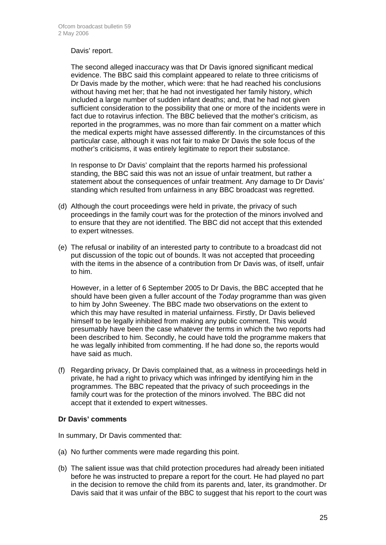#### Davis' report.

The second alleged inaccuracy was that Dr Davis ignored significant medical evidence. The BBC said this complaint appeared to relate to three criticisms of Dr Davis made by the mother, which were: that he had reached his conclusions without having met her; that he had not investigated her family history, which included a large number of sudden infant deaths; and, that he had not given sufficient consideration to the possibility that one or more of the incidents were in fact due to rotavirus infection. The BBC believed that the mother's criticism, as reported in the programmes, was no more than fair comment on a matter which the medical experts might have assessed differently. In the circumstances of this particular case, although it was not fair to make Dr Davis the sole focus of the mother's criticisms, it was entirely legitimate to report their substance.

In response to Dr Davis' complaint that the reports harmed his professional standing, the BBC said this was not an issue of unfair treatment, but rather a statement about the consequences of unfair treatment. Any damage to Dr Davis' standing which resulted from unfairness in any BBC broadcast was regretted.

- (d) Although the court proceedings were held in private, the privacy of such proceedings in the family court was for the protection of the minors involved and to ensure that they are not identified. The BBC did not accept that this extended to expert witnesses.
- (e) The refusal or inability of an interested party to contribute to a broadcast did not put discussion of the topic out of bounds. It was not accepted that proceeding with the items in the absence of a contribution from Dr Davis was, of itself, unfair to him.

However, in a letter of 6 September 2005 to Dr Davis, the BBC accepted that he should have been given a fuller account of the *Today* programme than was given to him by John Sweeney. The BBC made two observations on the extent to which this may have resulted in material unfairness. Firstly, Dr Davis believed himself to be legally inhibited from making any public comment. This would presumably have been the case whatever the terms in which the two reports had been described to him. Secondly, he could have told the programme makers that he was legally inhibited from commenting. If he had done so, the reports would have said as much.

(f) Regarding privacy, Dr Davis complained that, as a witness in proceedings held in private, he had a right to privacy which was infringed by identifying him in the programmes. The BBC repeated that the privacy of such proceedings in the family court was for the protection of the minors involved. The BBC did not accept that it extended to expert witnesses.

#### **Dr Davis' comments**

In summary, Dr Davis commented that:

- (a) No further comments were made regarding this point.
- (b) The salient issue was that child protection procedures had already been initiated before he was instructed to prepare a report for the court. He had played no part in the decision to remove the child from its parents and, later, its grandmother. Dr Davis said that it was unfair of the BBC to suggest that his report to the court was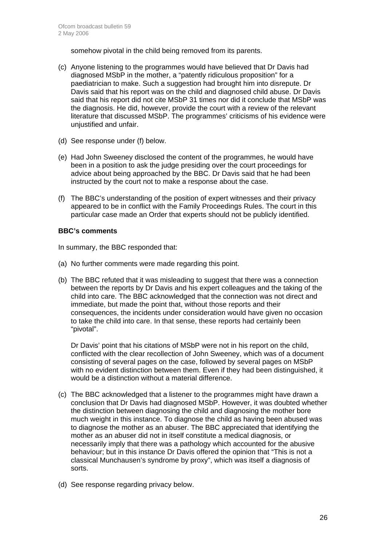somehow pivotal in the child being removed from its parents.

- (c) Anyone listening to the programmes would have believed that Dr Davis had diagnosed MSbP in the mother, a "patently ridiculous proposition" for a paediatrician to make. Such a suggestion had brought him into disrepute. Dr Davis said that his report was on the child and diagnosed child abuse. Dr Davis said that his report did not cite MSbP 31 times nor did it conclude that MSbP was the diagnosis. He did, however, provide the court with a review of the relevant literature that discussed MSbP. The programmes' criticisms of his evidence were unjustified and unfair.
- (d) See response under (f) below.
- (e) Had John Sweeney disclosed the content of the programmes, he would have been in a position to ask the judge presiding over the court proceedings for advice about being approached by the BBC. Dr Davis said that he had been instructed by the court not to make a response about the case.
- (f) The BBC's understanding of the position of expert witnesses and their privacy appeared to be in conflict with the Family Proceedings Rules. The court in this particular case made an Order that experts should not be publicly identified.

#### **BBC's comments**

In summary, the BBC responded that:

- (a) No further comments were made regarding this point.
- (b) The BBC refuted that it was misleading to suggest that there was a connection between the reports by Dr Davis and his expert colleagues and the taking of the child into care. The BBC acknowledged that the connection was not direct and immediate, but made the point that, without those reports and their consequences, the incidents under consideration would have given no occasion to take the child into care. In that sense, these reports had certainly been "pivotal".

Dr Davis' point that his citations of MSbP were not in his report on the child, conflicted with the clear recollection of John Sweeney, which was of a document consisting of several pages on the case, followed by several pages on MSbP with no evident distinction between them. Even if they had been distinguished, it would be a distinction without a material difference.

- (c) The BBC acknowledged that a listener to the programmes might have drawn a conclusion that Dr Davis had diagnosed MSbP. However, it was doubted whether the distinction between diagnosing the child and diagnosing the mother bore much weight in this instance. To diagnose the child as having been abused was to diagnose the mother as an abuser. The BBC appreciated that identifying the mother as an abuser did not in itself constitute a medical diagnosis, or necessarily imply that there was a pathology which accounted for the abusive behaviour; but in this instance Dr Davis offered the opinion that "This is not a classical Munchausen's syndrome by proxy", which was itself a diagnosis of sorts.
- (d) See response regarding privacy below.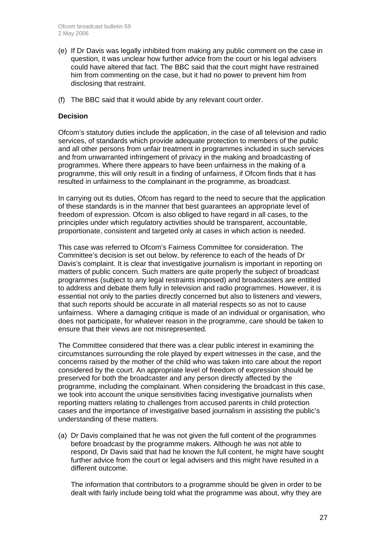- (e) If Dr Davis was legally inhibited from making any public comment on the case in question, it was unclear how further advice from the court or his legal advisers could have altered that fact. The BBC said that the court might have restrained him from commenting on the case, but it had no power to prevent him from disclosing that restraint.
- (f) The BBC said that it would abide by any relevant court order.

#### **Decision**

Ofcom's statutory duties include the application, in the case of all television and radio services, of standards which provide adequate protection to members of the public and all other persons from unfair treatment in programmes included in such services and from unwarranted infringement of privacy in the making and broadcasting of programmes. Where there appears to have been unfairness in the making of a programme, this will only result in a finding of unfairness, if Ofcom finds that it has resulted in unfairness to the complainant in the programme, as broadcast.

In carrying out its duties, Ofcom has regard to the need to secure that the application of these standards is in the manner that best guarantees an appropriate level of freedom of expression. Ofcom is also obliged to have regard in all cases, to the principles under which regulatory activities should be transparent, accountable, proportionate, consistent and targeted only at cases in which action is needed.

This case was referred to Ofcom's Fairness Committee for consideration. The Committee's decision is set out below, by reference to each of the heads of Dr Davis's complaint. It is clear that investigative journalism is important in reporting on matters of public concern. Such matters are quite properly the subject of broadcast programmes (subject to any legal restraints imposed) and broadcasters are entitled to address and debate them fully in television and radio programmes. However, it is essential not only to the parties directly concerned but also to listeners and viewers, that such reports should be accurate in all material respects so as not to cause unfairness. Where a damaging critique is made of an individual or organisation, who does not participate, for whatever reason in the programme, care should be taken to ensure that their views are not misrepresented.

The Committee considered that there was a clear public interest in examining the circumstances surrounding the role played by expert witnesses in the case, and the concerns raised by the mother of the child who was taken into care about the report considered by the court. An appropriate level of freedom of expression should be preserved for both the broadcaster and any person directly affected by the programme, including the complainant. When considering the broadcast in this case, we took into account the unique sensitivities facing investigative journalists when reporting matters relating to challenges from accused parents in child protection cases and the importance of investigative based journalism in assisting the public's understanding of these matters.

(a) Dr Davis complained that he was not given the full content of the programmes before broadcast by the programme makers. Although he was not able to respond, Dr Davis said that had he known the full content, he might have sought further advice from the court or legal advisers and this might have resulted in a different outcome.

The information that contributors to a programme should be given in order to be dealt with fairly include being told what the programme was about, why they are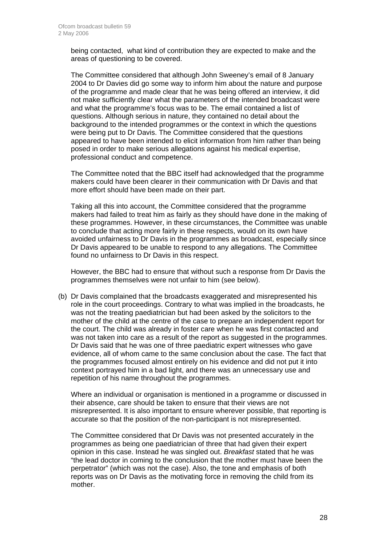being contacted, what kind of contribution they are expected to make and the areas of questioning to be covered.

The Committee considered that although John Sweeney's email of 8 January 2004 to Dr Davies did go some way to inform him about the nature and purpose of the programme and made clear that he was being offered an interview, it did not make sufficiently clear what the parameters of the intended broadcast were and what the programme's focus was to be. The email contained a list of questions. Although serious in nature, they contained no detail about the background to the intended programmes or the context in which the questions were being put to Dr Davis. The Committee considered that the questions appeared to have been intended to elicit information from him rather than being posed in order to make serious allegations against his medical expertise, professional conduct and competence.

The Committee noted that the BBC itself had acknowledged that the programme makers could have been clearer in their communication with Dr Davis and that more effort should have been made on their part.

Taking all this into account, the Committee considered that the programme makers had failed to treat him as fairly as they should have done in the making of these programmes. However, in these circumstances, the Committee was unable to conclude that acting more fairly in these respects, would on its own have avoided unfairness to Dr Davis in the programmes as broadcast, especially since Dr Davis appeared to be unable to respond to any allegations. The Committee found no unfairness to Dr Davis in this respect.

However, the BBC had to ensure that without such a response from Dr Davis the programmes themselves were not unfair to him (see below).

(b) Dr Davis complained that the broadcasts exaggerated and misrepresented his role in the court proceedings. Contrary to what was implied in the broadcasts, he was not the treating paediatrician but had been asked by the solicitors to the mother of the child at the centre of the case to prepare an independent report for the court. The child was already in foster care when he was first contacted and was not taken into care as a result of the report as suggested in the programmes. Dr Davis said that he was one of three paediatric expert witnesses who gave evidence, all of whom came to the same conclusion about the case. The fact that the programmes focused almost entirely on his evidence and did not put it into context portrayed him in a bad light, and there was an unnecessary use and repetition of his name throughout the programmes.

Where an individual or organisation is mentioned in a programme or discussed in their absence, care should be taken to ensure that their views are not misrepresented. It is also important to ensure wherever possible, that reporting is accurate so that the position of the non-participant is not misrepresented.

The Committee considered that Dr Davis was not presented accurately in the programmes as being one paediatrician of three that had given their expert opinion in this case. Instead he was singled out. *Breakfast* stated that he was "the lead doctor in coming to the conclusion that the mother must have been the perpetrator" (which was not the case). Also, the tone and emphasis of both reports was on Dr Davis as the motivating force in removing the child from its mother.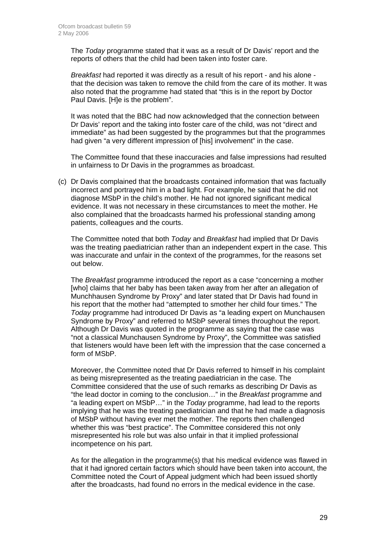The *Today* programme stated that it was as a result of Dr Davis' report and the reports of others that the child had been taken into foster care.

*Breakfast* had reported it was directly as a result of his report - and his alone that the decision was taken to remove the child from the care of its mother. It was also noted that the programme had stated that "this is in the report by Doctor Paul Davis. [H]e is the problem".

It was noted that the BBC had now acknowledged that the connection between Dr Davis' report and the taking into foster care of the child, was not "direct and immediate" as had been suggested by the programmes but that the programmes had given "a very different impression of [his] involvement" in the case.

The Committee found that these inaccuracies and false impressions had resulted in unfairness to Dr Davis in the programmes as broadcast.

(c) Dr Davis complained that the broadcasts contained information that was factually incorrect and portrayed him in a bad light. For example, he said that he did not diagnose MSbP in the child's mother. He had not ignored significant medical evidence. It was not necessary in these circumstances to meet the mother. He also complained that the broadcasts harmed his professional standing among patients, colleagues and the courts.

The Committee noted that both *Today* and *Breakfast* had implied that Dr Davis was the treating paediatrician rather than an independent expert in the case. This was inaccurate and unfair in the context of the programmes, for the reasons set out below.

The *Breakfast* programme introduced the report as a case "concerning a mother [who] claims that her baby has been taken away from her after an allegation of Munchhausen Syndrome by Proxy" and later stated that Dr Davis had found in his report that the mother had "attempted to smother her child four times." The *Today* programme had introduced Dr Davis as "a leading expert on Munchausen Syndrome by Proxy" and referred to MSbP several times throughout the report. Although Dr Davis was quoted in the programme as saying that the case was "not a classical Munchausen Syndrome by Proxy", the Committee was satisfied that listeners would have been left with the impression that the case concerned a form of MSbP.

Moreover, the Committee noted that Dr Davis referred to himself in his complaint as being misrepresented as the treating paediatrician in the case. The Committee considered that the use of such remarks as describing Dr Davis as "the lead doctor in coming to the conclusion…" in the *Breakfast* programme and "a leading expert on MSbP…" in the *Today* programme, had lead to the reports implying that he was the treating paediatrician and that he had made a diagnosis of MSbP without having ever met the mother. The reports then challenged whether this was "best practice". The Committee considered this not only misrepresented his role but was also unfair in that it implied professional incompetence on his part.

As for the allegation in the programme(s) that his medical evidence was flawed in that it had ignored certain factors which should have been taken into account, the Committee noted the Court of Appeal judgment which had been issued shortly after the broadcasts, had found no errors in the medical evidence in the case.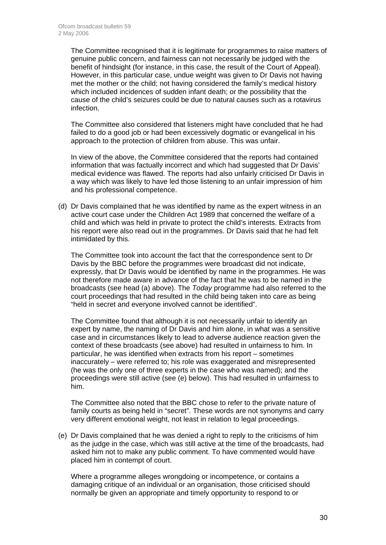The Committee recognised that it is legitimate for programmes to raise matters of genuine public concern, and fairness can not necessarily be judged with the benefit of hindsight (for instance, in this case, the result of the Court of Appeal). However, in this particular case, undue weight was given to Dr Davis not having met the mother or the child; not having considered the family's medical history which included incidences of sudden infant death; or the possibility that the cause of the child's seizures could be due to natural causes such as a rotavirus infection.

The Committee also considered that listeners might have concluded that he had failed to do a good job or had been excessively dogmatic or evangelical in his approach to the protection of children from abuse. This was unfair.

In view of the above, the Committee considered that the reports had contained information that was factually incorrect and which had suggested that Dr Davis' medical evidence was flawed. The reports had also unfairly criticised Dr Davis in a way which was likely to have led those listening to an unfair impression of him and his professional competence.

(d) Dr Davis complained that he was identified by name as the expert witness in an active court case under the Children Act 1989 that concerned the welfare of a child and which was held in private to protect the child's interests. Extracts from his report were also read out in the programmes. Dr Davis said that he had felt intimidated by this.

The Committee took into account the fact that the correspondence sent to Dr Davis by the BBC before the programmes were broadcast did not indicate, expressly, that Dr Davis would be identified by name in the programmes. He was not therefore made aware in advance of the fact that he was to be named in the broadcasts (see head (a) above). The *Today* programme had also referred to the court proceedings that had resulted in the child being taken into care as being "held in secret and everyone involved cannot be identified".

The Committee found that although it is not necessarily unfair to identify an expert by name, the naming of Dr Davis and him alone, in what was a sensitive case and in circumstances likely to lead to adverse audience reaction given the context of these broadcasts (see above) had resulted in unfairness to him. In particular, he was identified when extracts from his report – sometimes inaccurately – were referred to; his role was exaggerated and misrepresented (he was the only one of three experts in the case who was named); and the proceedings were still active (see (e) below). This had resulted in unfairness to him.

The Committee also noted that the BBC chose to refer to the private nature of family courts as being held in "secret". These words are not synonyms and carry very different emotional weight, not least in relation to legal proceedings.

(e) Dr Davis complained that he was denied a right to reply to the criticisms of him as the judge in the case, which was still active at the time of the broadcasts, had asked him not to make any public comment. To have commented would have placed him in contempt of court.

Where a programme alleges wrongdoing or incompetence, or contains a damaging critique of an individual or an organisation, those criticised should normally be given an appropriate and timely opportunity to respond to or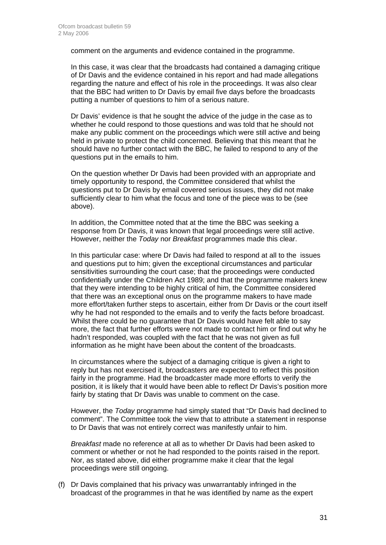comment on the arguments and evidence contained in the programme.

In this case, it was clear that the broadcasts had contained a damaging critique of Dr Davis and the evidence contained in his report and had made allegations regarding the nature and effect of his role in the proceedings. It was also clear that the BBC had written to Dr Davis by email five days before the broadcasts putting a number of questions to him of a serious nature.

Dr Davis' evidence is that he sought the advice of the judge in the case as to whether he could respond to those questions and was told that he should not make any public comment on the proceedings which were still active and being held in private to protect the child concerned. Believing that this meant that he should have no further contact with the BBC, he failed to respond to any of the questions put in the emails to him.

On the question whether Dr Davis had been provided with an appropriate and timely opportunity to respond, the Committee considered that whilst the questions put to Dr Davis by email covered serious issues, they did not make sufficiently clear to him what the focus and tone of the piece was to be (see above).

In addition, the Committee noted that at the time the BBC was seeking a response from Dr Davis, it was known that legal proceedings were still active. However, neither the *Today* nor *Breakfast* programmes made this clear.

In this particular case: where Dr Davis had failed to respond at all to the issues and questions put to him; given the exceptional circumstances and particular sensitivities surrounding the court case; that the proceedings were conducted confidentially under the Children Act 1989; and that the programme makers knew that they were intending to be highly critical of him, the Committee considered that there was an exceptional onus on the programme makers to have made more effort/taken further steps to ascertain, either from Dr Davis or the court itself why he had not responded to the emails and to verify the facts before broadcast. Whilst there could be no guarantee that Dr Davis would have felt able to say more, the fact that further efforts were not made to contact him or find out why he hadn't responded, was coupled with the fact that he was not given as full information as he might have been about the content of the broadcasts.

In circumstances where the subject of a damaging critique is given a right to reply but has not exercised it, broadcasters are expected to reflect this position fairly in the programme. Had the broadcaster made more efforts to verify the position, it is likely that it would have been able to reflect Dr Davis's position more fairly by stating that Dr Davis was unable to comment on the case.

However, the *Today* programme had simply stated that "Dr Davis had declined to comment". The Committee took the view that to attribute a statement in response to Dr Davis that was not entirely correct was manifestly unfair to him.

*Breakfast* made no reference at all as to whether Dr Davis had been asked to comment or whether or not he had responded to the points raised in the report. Nor, as stated above, did either programme make it clear that the legal proceedings were still ongoing.

(f) Dr Davis complained that his privacy was unwarrantably infringed in the broadcast of the programmes in that he was identified by name as the expert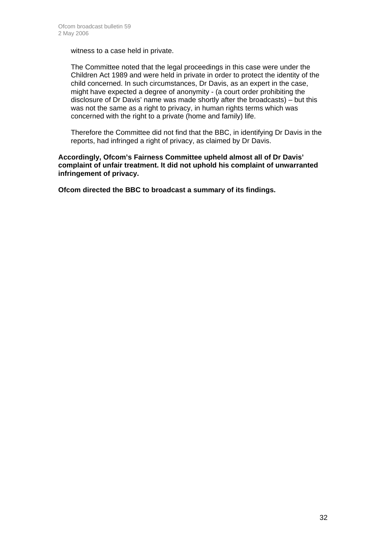witness to a case held in private.

The Committee noted that the legal proceedings in this case were under the Children Act 1989 and were held in private in order to protect the identity of the child concerned. In such circumstances, Dr Davis, as an expert in the case, might have expected a degree of anonymity - (a court order prohibiting the disclosure of Dr Davis' name was made shortly after the broadcasts) – but this was not the same as a right to privacy, in human rights terms which was concerned with the right to a private (home and family) life.

Therefore the Committee did not find that the BBC, in identifying Dr Davis in the reports, had infringed a right of privacy, as claimed by Dr Davis.

**Accordingly, Ofcom's Fairness Committee upheld almost all of Dr Davis' complaint of unfair treatment. It did not uphold his complaint of unwarranted infringement of privacy.** 

**Ofcom directed the BBC to broadcast a summary of its findings.**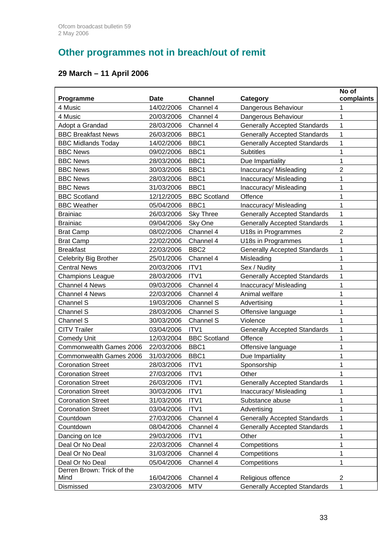# **Other programmes not in breach/out of remit**

# **29 March – 11 April 2006**

|                              |             |                     |                                     | No of          |
|------------------------------|-------------|---------------------|-------------------------------------|----------------|
| Programme                    | <b>Date</b> | <b>Channel</b>      | <b>Category</b>                     | complaints     |
| 4 Music                      | 14/02/2006  | Channel 4           | Dangerous Behaviour                 | 1              |
| 4 Music                      | 20/03/2006  | Channel 4           | Dangerous Behaviour                 | 1              |
| Adopt a Grandad              | 28/03/2006  | Channel 4           | <b>Generally Accepted Standards</b> | 1              |
| <b>BBC Breakfast News</b>    | 26/03/2006  | BBC1                | <b>Generally Accepted Standards</b> | 1              |
| <b>BBC Midlands Today</b>    | 14/02/2006  | BBC1                | <b>Generally Accepted Standards</b> | 1              |
| <b>BBC News</b>              | 09/02/2006  | BBC1                | <b>Subtitles</b>                    | 1              |
| <b>BBC News</b>              | 28/03/2006  | BBC1                | Due Impartiality                    | 1              |
| <b>BBC News</b>              | 30/03/2006  | BBC <sub>1</sub>    | Inaccuracy/ Misleading              | $\overline{2}$ |
| <b>BBC News</b>              | 28/03/2006  | BBC1                | Inaccuracy/ Misleading              | 1              |
| <b>BBC News</b>              | 31/03/2006  | BBC <sub>1</sub>    | Inaccuracy/ Misleading              | 1              |
| <b>BBC Scotland</b>          | 12/12/2005  | <b>BBC Scotland</b> | Offence                             | 1              |
| <b>BBC Weather</b>           | 05/04/2006  | BBC1                | Inaccuracy/ Misleading              | 1              |
| <b>Brainiac</b>              | 26/03/2006  | <b>Sky Three</b>    | <b>Generally Accepted Standards</b> | 1              |
| <b>Brainiac</b>              | 09/04/2006  | Sky One             | <b>Generally Accepted Standards</b> | 1              |
| <b>Brat Camp</b>             | 08/02/2006  | Channel 4           | U18s in Programmes                  | $\overline{2}$ |
| <b>Brat Camp</b>             | 22/02/2006  | Channel 4           | U18s in Programmes                  | 1              |
| <b>Breakfast</b>             | 22/03/2006  | BBC <sub>2</sub>    | <b>Generally Accepted Standards</b> | 1              |
| <b>Celebrity Big Brother</b> | 25/01/2006  | Channel 4           | Misleading                          | 1              |
| <b>Central News</b>          | 20/03/2006  | ITV1                | Sex / Nudity                        | 1              |
| <b>Champions League</b>      | 28/03/2006  | ITV1                | <b>Generally Accepted Standards</b> | 1              |
| Channel 4 News               | 09/03/2006  | Channel 4           | Inaccuracy/ Misleading              | 1              |
| <b>Channel 4 News</b>        | 22/03/2006  | Channel 4           | Animal welfare                      | 1              |
| Channel S                    | 19/03/2006  | Channel S           | Advertising                         | 1              |
| Channel S                    | 28/03/2006  | Channel S           | Offensive language                  | 1              |
| Channel S                    | 30/03/2006  | Channel S           | Violence                            | 1              |
| <b>CITV Trailer</b>          | 03/04/2006  | ITV1                | <b>Generally Accepted Standards</b> | 1              |
| <b>Comedy Unit</b>           | 12/03/2004  | <b>BBC Scotland</b> | Offence                             | 1              |
| Commonwealth Games 2006      | 22/03/2006  | BBC1                | Offensive language                  | 1              |
| Commonwealth Games 2006      | 31/03/2006  | BBC1                | Due Impartiality                    | 1              |
| <b>Coronation Street</b>     | 28/03/2006  | ITV1                | Sponsorship                         | 1              |
| <b>Coronation Street</b>     | 27/03/2006  | ITV1                | Other                               | 1              |
| <b>Coronation Street</b>     | 26/03/2006  | ITV1                | <b>Generally Accepted Standards</b> | 1              |
| <b>Coronation Street</b>     | 30/03/2006  | ITV1                | Inaccuracy/Misleading               | 1              |
| <b>Coronation Street</b>     | 31/03/2006  | ITV1                | Substance abuse                     | 1              |
| <b>Coronation Street</b>     | 03/04/2006  | ITV1                | Advertising                         | 1              |
| Countdown                    | 27/03/2006  | Channel 4           | <b>Generally Accepted Standards</b> | 1              |
| Countdown                    | 08/04/2006  | Channel 4           | <b>Generally Accepted Standards</b> | 1              |
| Dancing on Ice               | 29/03/2006  | ITV1                | Other                               | 1              |
| Deal Or No Deal              | 22/03/2006  | Channel 4           | Competitions                        | 1              |
| Deal Or No Deal              | 31/03/2006  | Channel 4           | Competitions                        | 1              |
| Deal Or No Deal              | 05/04/2006  | Channel 4           | Competitions                        | 1              |
| Derren Brown: Trick of the   |             |                     |                                     |                |
| Mind                         | 16/04/2006  | Channel 4           | Religious offence                   | $\overline{2}$ |
| Dismissed                    | 23/03/2006  | MTV                 | <b>Generally Accepted Standards</b> | 1              |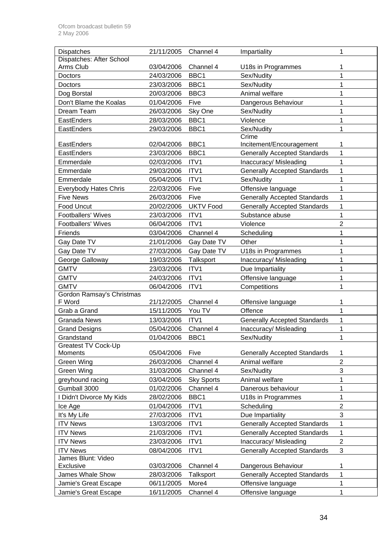| Dispatches                      | 21/11/2005 | Channel 4         | Impartiality                        | 1              |
|---------------------------------|------------|-------------------|-------------------------------------|----------------|
| Dispatches: After School        |            |                   |                                     |                |
| Arms Club                       | 03/04/2006 | Channel 4         | U18s in Programmes                  |                |
| Doctors                         | 24/03/2006 | BBC1              | Sex/Nudity                          | 1              |
| Doctors                         | 23/03/2006 | BBC1              | Sex/Nudity                          | 1              |
| Dog Borstal                     | 20/03/2006 | BBC <sub>3</sub>  | Animal welfare                      | 1              |
| Don't Blame the Koalas          | 01/04/2006 | Five              | Dangerous Behaviour                 | 1              |
| Dream Team                      | 26/03/2006 | Sky One           | Sex/Nudity                          | 1              |
| EastEnders                      | 28/03/2006 | BBC1              | Violence                            | 1              |
| EastEnders                      | 29/03/2006 | BBC1              | Sex/Nudity                          | 1              |
|                                 |            |                   | Crime                               |                |
| EastEnders                      | 02/04/2006 | BBC1              | Incitement/Encouragement            | 1              |
| EastEnders                      | 23/03/2006 | BBC1              | <b>Generally Accepted Standards</b> | 1              |
| Emmerdale                       | 02/03/2006 | ITV1              | Inaccuracy/ Misleading              | 1              |
| Emmerdale                       | 29/03/2006 | ITV1              | <b>Generally Accepted Standards</b> | 1              |
| Emmerdale                       | 05/04/2006 | ITV1              | Sex/Nudity                          | 1              |
| <b>Everybody Hates Chris</b>    | 22/03/2006 | Five              | Offensive language                  | 1              |
| <b>Five News</b>                | 26/03/2006 | Five              | <b>Generally Accepted Standards</b> | 1              |
| Food Uncut                      | 20/02/2006 | <b>UKTV Food</b>  | <b>Generally Accepted Standards</b> | 1              |
| <b>Footballers' Wives</b>       | 23/03/2006 | ITV1              | Substance abuse                     | 1              |
| Footballers' Wives              | 06/04/2006 | ITV1              | Violence                            | $\overline{2}$ |
| Friends                         | 03/04/2006 | Channel 4         | Scheduling                          | 1              |
| Gay Date TV                     | 21/01/2006 | Gay Date TV       | Other                               | 1              |
| Gay Date TV                     | 27/03/2006 | Gay Date TV       | U18s in Programmes                  | 1              |
| George Galloway                 | 19/03/2006 | Talksport         | Inaccuracy/ Misleading              | 1              |
| <b>GMTV</b>                     | 23/03/2006 | ITV1              | Due Impartiality                    | 1              |
| <b>GMTV</b>                     | 24/03/2006 | ITV1              | Offensive language                  | 1              |
| <b>GMTV</b>                     | 06/04/2006 | ITV1              | Competitions                        | 1              |
| Gordon Ramsay's Christmas       |            |                   |                                     |                |
| F Word                          | 21/12/2005 | Channel 4         | Offensive language                  | 1              |
| Grab a Grand                    | 15/11/2005 | You TV            | Offence                             | 1              |
| <b>Granada News</b>             | 13/03/2006 | ITV1              | <b>Generally Accepted Standards</b> | 1              |
| <b>Grand Designs</b>            | 05/04/2006 | Channel 4         | Inaccuracy/ Misleading              | 1              |
| Grandstand                      | 01/04/2006 | BBC1              | Sex/Nudity                          | 1              |
| <b>Greatest TV Cock-Up</b>      |            |                   |                                     |                |
| Moments                         | 05/04/2006 | Five              | <b>Generally Accepted Standards</b> | 1              |
| Green Wing                      | 26/03/2006 | Channel 4         | Animal welfare                      | $\overline{2}$ |
| Green Wing                      | 31/03/2006 | Channel 4         | Sex/Nudity                          | $\mathfrak{S}$ |
| greyhound racing                | 03/04/2006 | <b>Sky Sports</b> | Animal welfare                      | 1              |
| Gumball 3000                    | 01/02/2006 | Channel 4         | Danerous behaviour                  | 1              |
| I Didn't Divorce My Kids        | 28/02/2006 | BBC1              | U18s in Programmes                  | 1              |
| Ice Age                         | 01/04/2006 | ITV1              | Scheduling                          | $\overline{2}$ |
| It's My Life                    | 27/03/2006 | ITV1              | Due Impartiality                    | 3              |
| <b>ITV News</b>                 | 13/03/2006 | ITV1              | <b>Generally Accepted Standards</b> | 1              |
| <b>ITV News</b>                 | 21/03/2006 | ITV1              | <b>Generally Accepted Standards</b> | 1              |
| <b>ITV News</b>                 | 23/03/2006 | ITV1              | Inaccuracy/ Misleading              | $\mathbf 2$    |
| <b>ITV News</b>                 | 08/04/2006 | ITV1              | <b>Generally Accepted Standards</b> | $\mathfrak{S}$ |
| James Blunt: Video<br>Exclusive | 03/03/2006 | Channel 4         | Dangerous Behaviour                 | 1              |
| James Whale Show                | 28/03/2006 | Talksport         | <b>Generally Accepted Standards</b> | 1              |
| Jamie's Great Escape            | 06/11/2005 | More4             | Offensive language                  | 1              |
|                                 |            |                   |                                     |                |
| Jamie's Great Escape            | 16/11/2005 | Channel 4         | Offensive language                  | 1              |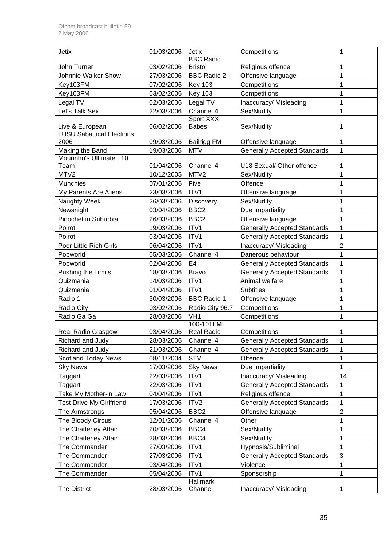| Jetix                                               | 01/03/2006 | <b>Jetix</b>       | Competitions                        | 1              |
|-----------------------------------------------------|------------|--------------------|-------------------------------------|----------------|
|                                                     |            | <b>BBC</b> Radio   |                                     |                |
| John Turner                                         | 03/02/2006 | <b>Bristol</b>     | Religious offence                   | 1              |
| Johnnie Walker Show                                 | 27/03/2006 | <b>BBC Radio 2</b> | Offensive language                  | 1              |
| Key103FM                                            | 07/02/2006 | <b>Key 103</b>     | Competitions                        | 1              |
| Key103FM                                            | 03/02/2006 | <b>Key 103</b>     | Competitions                        | 1              |
| Legal TV                                            | 02/03/2006 | Legal TV           | Inaccuracy/ Misleading              | 1              |
| Let's Talk Sex                                      | 22/03/2006 | Channel 4          | Sex/Nudity                          | 1              |
|                                                     |            | Sport XXX          |                                     |                |
| Live & European<br><b>LUSU Sabattical Elections</b> | 06/02/2006 | <b>Babes</b>       | Sex/Nudity                          | 1              |
| 2006                                                | 09/03/2006 | <b>Bailrigg FM</b> | Offensive language                  | 1              |
| Making the Band                                     | 19/03/2006 | <b>MTV</b>         | <b>Generally Accepted Standards</b> | 1              |
| Mourinho's Ultimate +10                             |            |                    |                                     |                |
| Team                                                | 01/04/2006 | Channel 4          | U18 Sexual/ Other offence           | 1              |
| MTV2                                                | 10/12/2005 | MTV <sub>2</sub>   | Sex/Nudity                          | 1              |
| Munchies                                            | 07/01/2006 | Five               | Offence                             | 1              |
| My Parents Are Aliens                               | 23/03/2006 | ITV1               | Offensive language                  | 1              |
| Naughty Week                                        | 26/03/2006 | Discovery          | Sex/Nudity                          | 1              |
| Newsnight                                           | 03/04/2006 | BBC <sub>2</sub>   | Due Impartiality                    | 1              |
| Pinochet in Suburbia                                | 26/03/2006 | BBC <sub>2</sub>   | Offensive language                  | 1              |
| Poirot                                              | 19/03/2006 | ITV1               | <b>Generally Accepted Standards</b> | 1              |
| Poirot                                              | 03/04/2006 | ITV1               | <b>Generally Accepted Standards</b> | 1              |
| Poor Little Rich Girls                              | 06/04/2006 | ITV1               | Inaccuracy/Misleading               | $\overline{2}$ |
| Popworld                                            | 05/03/2006 | Channel 4          | Danerous behaviour                  | 1              |
| Popworld                                            | 02/04/2006 | E4                 | <b>Generally Accepted Standards</b> | 1              |
| Pushing the Limits                                  | 18/03/2006 | <b>Bravo</b>       | <b>Generally Accepted Standards</b> | 1              |
| Quizmania                                           | 14/03/2006 | ITV1               | Animal welfare                      | 1              |
| Quizmania                                           | 01/04/2006 | ITV1               | <b>Subtitles</b>                    | 1              |
| Radio 1                                             | 30/03/2006 | <b>BBC Radio 1</b> | Offensive language                  | 1              |
| Radio City                                          | 03/02/2006 | Radio City 96.7    | Competitions                        | 1              |
| Radio Ga Ga                                         | 28/03/2006 | VH <sub>1</sub>    | Competitions                        | 1              |
|                                                     |            | 100-101FM          |                                     |                |
| Real Radio Glasgow                                  | 03/04/2006 | Real Radio         | Competitions                        | 1              |
| Richard and Judy                                    | 28/03/2006 | Channel 4          | <b>Generally Accepted Standards</b> | 1              |
| Richard and Judy                                    | 21/03/2006 | Channel 4          | <b>Generally Accepted Standards</b> | 1              |
| <b>Scotland Today News</b>                          | 08/11/2004 | <b>STV</b>         | Offence                             | 1              |
| <b>Sky News</b>                                     | 17/03/2006 | <b>Sky News</b>    | Due Impartiality                    | 1              |
| Taggart                                             | 22/03/2006 | ITV1               | Inaccuracy/ Misleading              | 14             |
| Taggart                                             | 22/03/2006 | ITV1               | <b>Generally Accepted Standards</b> | 1              |
| Take My Mother-in Law                               | 04/04/2006 | ITV1               | Religious offence                   | 1              |
| <b>Test Drive My Girlfriend</b>                     | 17/03/2006 | ITV <sub>2</sub>   | <b>Generally Accepted Standards</b> | 1              |
| The Armstrongs                                      | 05/04/2006 | BBC <sub>2</sub>   | Offensive language                  | $\overline{2}$ |
| The Bloody Circus                                   | 12/01/2006 | Channel 4          | Other                               | 1              |
| The Chatterley Affair                               | 20/03/2006 | BBC4               | Sex/Nudity                          | 1              |
| The Chatterley Affair                               | 28/03/2006 | BBC4               | Sex/Nudity                          | 1              |
| The Commander                                       | 27/03/2006 | ITV1               | Hypnosis/Subliminal                 | 1              |
| The Commander                                       | 27/03/2006 | ITV1               | <b>Generally Accepted Standards</b> | 3              |
| The Commander                                       | 03/04/2006 | ITV1               | Violence                            | 1              |
| The Commander                                       | 05/04/2006 | ITV1               | Sponsorship                         | 1              |
|                                                     |            | Hallmark           |                                     |                |
| The District                                        | 28/03/2006 | Channel            | Inaccuracy/ Misleading              | 1              |